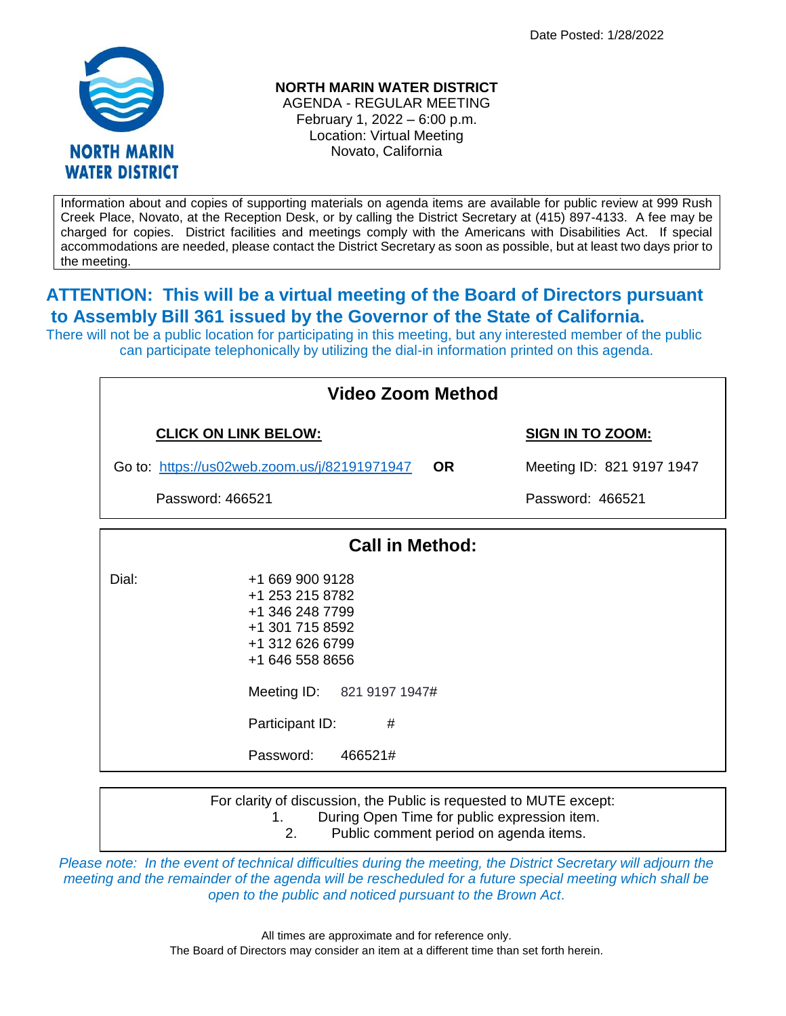Date Posted: 1/28/2022



## **NORTH MARIN WATER DISTRICT**

AGENDA - REGULAR MEETING February 1, 2022 – 6:00 p.m. Location: Virtual Meeting Novato, California

Information about and copies of supporting materials on agenda items are available for public review at 999 Rush Creek Place, Novato, at the Reception Desk, or by calling the District Secretary at (415) 897-4133. A fee may be charged for copies. District facilities and meetings comply with the Americans with Disabilities Act. If special accommodations are needed, please contact the District Secretary as soon as possible, but at least two days prior to the meeting.

## **ATTENTION: This will be a virtual meeting of the Board of Directors pursuant to Assembly Bill 361 issued by the Governor of the State of California.**

There will not be a public location for participating in this meeting, but any interested member of the public can participate telephonically by utilizing the dial-in information printed on this agenda.

| <b>Video Zoom Method</b>                     |                                                                                                                                                              |                         |                                                                                                                    |  |
|----------------------------------------------|--------------------------------------------------------------------------------------------------------------------------------------------------------------|-------------------------|--------------------------------------------------------------------------------------------------------------------|--|
| <b>CLICK ON LINK BELOW:</b>                  |                                                                                                                                                              | <b>SIGN IN TO ZOOM:</b> |                                                                                                                    |  |
| Go to: https://us02web.zoom.us/j/82191971947 |                                                                                                                                                              | <b>OR</b>               | Meeting ID: 821 9197 1947                                                                                          |  |
| Password: 466521                             |                                                                                                                                                              |                         | Password: 466521                                                                                                   |  |
|                                              | <b>Call in Method:</b>                                                                                                                                       |                         |                                                                                                                    |  |
| Dial:<br>Participant ID:<br>Password:        | +1 669 900 9128<br>+1 253 215 8782<br>+1 346 248 7799<br>+1 301 715 8592<br>+1 312 626 6799<br>+1 646 558 8656<br>Meeting ID: 821 9197 1947#<br>#<br>466521# |                         |                                                                                                                    |  |
| 1.                                           |                                                                                                                                                              |                         | For clarity of discussion, the Public is requested to MUTE except:<br>During Open Time for public expression item. |  |

*Please note: In the event of technical difficulties during the meeting, the District Secretary will adjourn the meeting and the remainder of the agenda will be rescheduled for a future special meeting which shall be open to the public and noticed pursuant to the Brown Act.*

2. Public comment period on agenda items.

All times are approximate and for reference only. The Board of Directors may consider an item at a different time than set forth herein.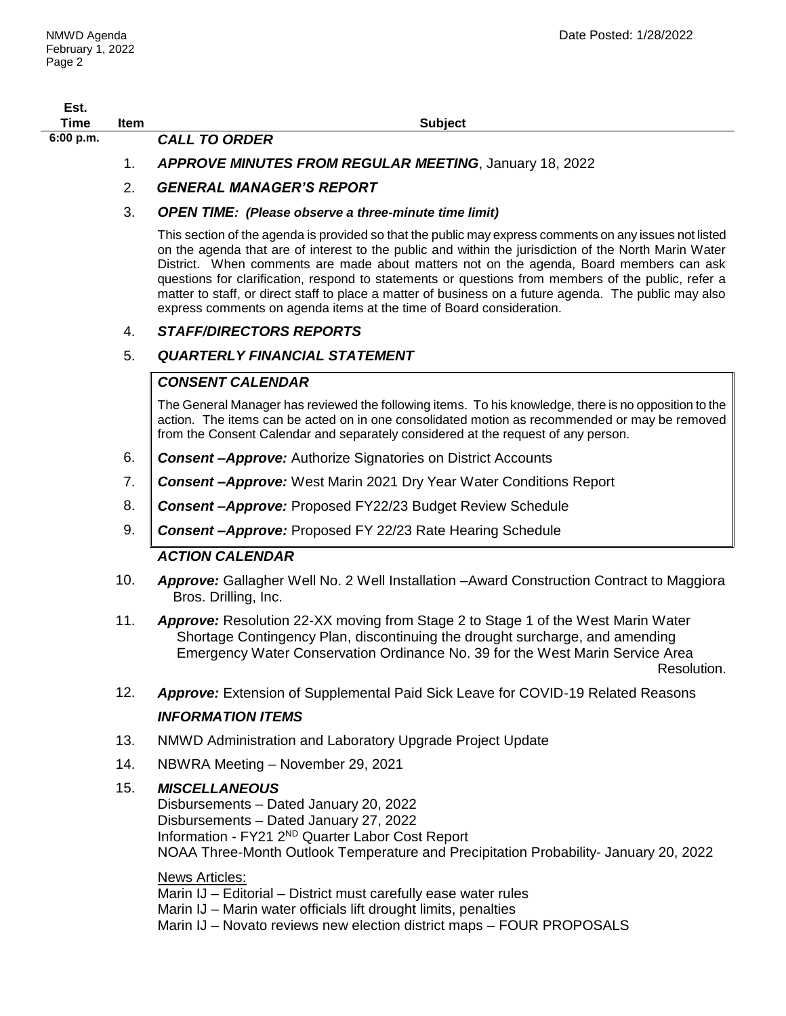| Est.<br><b>Time</b> | Item | <b>Subject</b>                                                                                                                                                                                                                                                                                                                                                                                                                                                                                                                                                                                       |  |  |
|---------------------|------|------------------------------------------------------------------------------------------------------------------------------------------------------------------------------------------------------------------------------------------------------------------------------------------------------------------------------------------------------------------------------------------------------------------------------------------------------------------------------------------------------------------------------------------------------------------------------------------------------|--|--|
| 6:00 p.m.           |      | <b>CALL TO ORDER</b>                                                                                                                                                                                                                                                                                                                                                                                                                                                                                                                                                                                 |  |  |
|                     | 1.   | <b>APPROVE MINUTES FROM REGULAR MEETING, January 18, 2022</b>                                                                                                                                                                                                                                                                                                                                                                                                                                                                                                                                        |  |  |
|                     | 2.   | <b>GENERAL MANAGER'S REPORT</b>                                                                                                                                                                                                                                                                                                                                                                                                                                                                                                                                                                      |  |  |
|                     | 3.   | <b>OPEN TIME:</b> (Please observe a three-minute time limit)                                                                                                                                                                                                                                                                                                                                                                                                                                                                                                                                         |  |  |
|                     |      | This section of the agenda is provided so that the public may express comments on any issues not listed<br>on the agenda that are of interest to the public and within the jurisdiction of the North Marin Water<br>District. When comments are made about matters not on the agenda, Board members can ask<br>questions for clarification, respond to statements or questions from members of the public, refer a<br>matter to staff, or direct staff to place a matter of business on a future agenda. The public may also<br>express comments on agenda items at the time of Board consideration. |  |  |
|                     | 4.   | <b>STAFF/DIRECTORS REPORTS</b>                                                                                                                                                                                                                                                                                                                                                                                                                                                                                                                                                                       |  |  |
|                     | 5.   | <b>QUARTERLY FINANCIAL STATEMENT</b>                                                                                                                                                                                                                                                                                                                                                                                                                                                                                                                                                                 |  |  |
|                     |      | <b>CONSENT CALENDAR</b>                                                                                                                                                                                                                                                                                                                                                                                                                                                                                                                                                                              |  |  |
|                     |      | The General Manager has reviewed the following items. To his knowledge, there is no opposition to the<br>action. The items can be acted on in one consolidated motion as recommended or may be removed<br>from the Consent Calendar and separately considered at the request of any person.                                                                                                                                                                                                                                                                                                          |  |  |
|                     | 6.   | <b>Consent-Approve:</b> Authorize Signatories on District Accounts                                                                                                                                                                                                                                                                                                                                                                                                                                                                                                                                   |  |  |
|                     | 7.   | <b>Consent-Approve:</b> West Marin 2021 Dry Year Water Conditions Report                                                                                                                                                                                                                                                                                                                                                                                                                                                                                                                             |  |  |
|                     | 8.   | <b>Consent-Approve: Proposed FY22/23 Budget Review Schedule</b>                                                                                                                                                                                                                                                                                                                                                                                                                                                                                                                                      |  |  |
|                     | 9.   | <b>Consent-Approve:</b> Proposed FY 22/23 Rate Hearing Schedule                                                                                                                                                                                                                                                                                                                                                                                                                                                                                                                                      |  |  |
|                     |      | <b>ACTION CALENDAR</b>                                                                                                                                                                                                                                                                                                                                                                                                                                                                                                                                                                               |  |  |
|                     | 10.  | Approve: Gallagher Well No. 2 Well Installation -Award Construction Contract to Maggiora<br>Bros. Drilling, Inc.                                                                                                                                                                                                                                                                                                                                                                                                                                                                                     |  |  |
|                     | 11.  | <b>Approve:</b> Resolution 22-XX moving from Stage 2 to Stage 1 of the West Marin Water<br>Shortage Contingency Plan, discontinuing the drought surcharge, and amending<br>Emergency Water Conservation Ordinance No. 39 for the West Marin Service Area<br>Resolution.                                                                                                                                                                                                                                                                                                                              |  |  |
|                     | 12.  | <b>Approve:</b> Extension of Supplemental Paid Sick Leave for COVID-19 Related Reasons                                                                                                                                                                                                                                                                                                                                                                                                                                                                                                               |  |  |
|                     |      | <b>INFORMATION ITEMS</b>                                                                                                                                                                                                                                                                                                                                                                                                                                                                                                                                                                             |  |  |
|                     | 13.  | NMWD Administration and Laboratory Upgrade Project Update                                                                                                                                                                                                                                                                                                                                                                                                                                                                                                                                            |  |  |
|                     | 14.  | NBWRA Meeting - November 29, 2021                                                                                                                                                                                                                                                                                                                                                                                                                                                                                                                                                                    |  |  |
|                     | 15.  | <b>MISCELLANEOUS</b><br>Disbursements - Dated January 20, 2022<br>Disbursements - Dated January 27, 2022<br>Information - FY21 2ND Quarter Labor Cost Report<br>NOAA Three-Month Outlook Temperature and Precipitation Probability- January 20, 2022                                                                                                                                                                                                                                                                                                                                                 |  |  |
|                     |      | <b>News Articles:</b><br>Marin IJ - Editorial - District must carefully ease water rules                                                                                                                                                                                                                                                                                                                                                                                                                                                                                                             |  |  |

Marin IJ – Marin water officials lift drought limits, penalties

Marin IJ – Novato reviews new election district maps – FOUR PROPOSALS